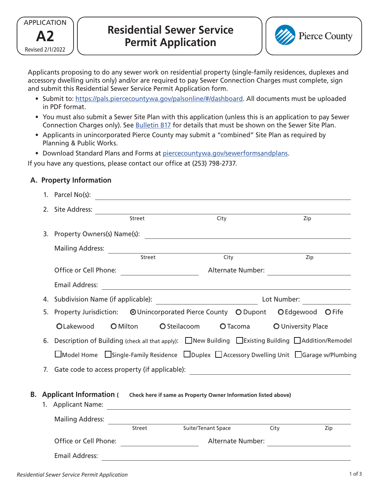



Applicants proposing to do any sewer work on residential property (single-family residences, duplexes and accessory dwelling units only) and/or are required to pay Sewer Connection Charges must complete, sign and submit this Residential Sewer Service Permit Application form.

- Submit to: [https://pals.piercecountywa.gov/palsonline/#/dashboard. A](https://pals.piercecountywa.gov/palsonline/#/dashboard)ll documents must be uploaded in PDF format.
- You must also submit a Sewer Site Plan with this application (unless this is an application to pay Sewer Connection Charges only). See [Bulletin B17](http://www.co.pierce.wa.us/DocumentCenter/View/41318) for details that must be shown on the Sewer Site Plan.
- Applicants in unincorporated Pierce County may submit a "combined" Site Plan as required by Planning & Public Works.
- Download Standard Plans and Forms at [piercecountywa.gov/sewerformsandplans.](http://www.piercecountywa.gov/sewerformsandplans)

If you have any questions, please contact our office at (253) 798-2737.

# **A. Property Information**

|                                                                                                    |    | 1. Parcel $No(s)$ :                                                                                         |                   |                                                                                                                                           |             |                    |                  |  |
|----------------------------------------------------------------------------------------------------|----|-------------------------------------------------------------------------------------------------------------|-------------------|-------------------------------------------------------------------------------------------------------------------------------------------|-------------|--------------------|------------------|--|
|                                                                                                    | 2. | Site Address:                                                                                               |                   |                                                                                                                                           |             |                    |                  |  |
|                                                                                                    |    | Street                                                                                                      |                   | City                                                                                                                                      |             | Zip                |                  |  |
|                                                                                                    | 3. | Property Owners(s) Name(s):                                                                                 |                   | <u> 1980 - Jan Samuel Barbara, margaret e populari e populari e populari e populari e populari e populari e pop</u>                       |             |                    |                  |  |
|                                                                                                    |    | <b>Mailing Address:</b>                                                                                     |                   |                                                                                                                                           |             |                    |                  |  |
|                                                                                                    |    |                                                                                                             |                   | <b>Street</b> City<br>City                                                                                                                |             |                    | $\overline{Zip}$ |  |
|                                                                                                    |    |                                                                                                             |                   | Alternate Number:<br><u> 1980 - Andrea Station Barbara, politik eta provincia eta provincia eta provincia eta provincia eta provincia</u> |             |                    |                  |  |
|                                                                                                    |    | <b>Email Address:</b>                                                                                       |                   | <u> 1989 - Andrea Station Barbara, actor a component de la componentación de la componentación de la componentaci</u>                     |             |                    |                  |  |
|                                                                                                    | 4. |                                                                                                             |                   |                                                                                                                                           | Lot Number: |                    |                  |  |
|                                                                                                    | 5. | Property Jurisdiction: © Unincorporated Pierce County © Dupont © Edgewood © Fife                            |                   |                                                                                                                                           |             |                    |                  |  |
|                                                                                                    |    | <b>O</b> Milton<br>OLakewood                                                                                |                   | O Steilacoom                                                                                                                              | $O$ Tacoma  | O University Place |                  |  |
|                                                                                                    | 6. | Description of Building (check all that apply): △New Building △Existing Building △Addition/Remodel          |                   |                                                                                                                                           |             |                    |                  |  |
|                                                                                                    |    | □Model Home □ Single-Family Residence □ Duplex □ Accessory Dwelling Unit □ Garage w/Plumbing                |                   |                                                                                                                                           |             |                    |                  |  |
| Gate code to access property (if applicable): __________________________________<br>7 <sup>1</sup> |    |                                                                                                             |                   |                                                                                                                                           |             |                    |                  |  |
| В.                                                                                                 |    | Applicant Information (Check here if same as Property Owner Information listed above)<br>1. Applicant Name: |                   |                                                                                                                                           |             |                    |                  |  |
|                                                                                                    |    | <b>Mailing Address:</b>                                                                                     |                   |                                                                                                                                           |             |                    |                  |  |
|                                                                                                    |    |                                                                                                             | Street            | Suite/Tenant Space                                                                                                                        |             | City               | Zip              |  |
|                                                                                                    |    | Office or Cell Phone:                                                                                       | Alternate Number: |                                                                                                                                           |             |                    |                  |  |
|                                                                                                    |    | <b>Email Address:</b>                                                                                       |                   |                                                                                                                                           |             |                    |                  |  |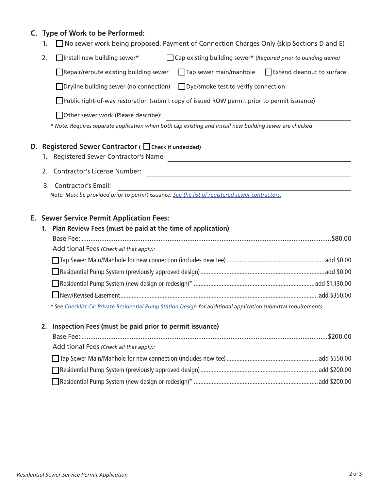# **C. Type of Work to be Performed:**

- 1.  $\Box$  No sewer work being proposed. Payment of Connection Charges Only (skip Sections D and E)
- 2. **Install new building sewer\* Cap existing building sewer\*** *(Required prior to building demo)*

Repair/reroute existing building sewer  $\Box$  Tap sewer main/manhole  $\Box$  Extend cleanout to surface

 $\Box$ Dryline building sewer (no connection)  $\Box$ Dye/smoke test to verify connection

Public right-of-way restoration (submit copy of issued ROW permit prior to permit issuance)

Other sewer work (Please describe):

*\* Note: Requires separate application when both cap existing and install new building sewer are checked* 

#### **D. Registered Sewer Contractor (** ◯ Check if undecided)

- 1. Registered Sewer Contractor's Name:
- 2. Contractor's License Number:
- 3. Contractor's Email:

*Note: Must be provided prior to permit issuance. [See the list of registered sewer contractors.](http://wa-piercecounty2.civicplus.com/DocumentCenter/View/64958/sewer-contractor-list?bidId)*

### **E. Sewer Service Permit Application Fees:**

| 1. Plan Review Fees (must be paid at the time of application)                                                                                                                                                                                          |  |  |  |  |
|--------------------------------------------------------------------------------------------------------------------------------------------------------------------------------------------------------------------------------------------------------|--|--|--|--|
|                                                                                                                                                                                                                                                        |  |  |  |  |
| Additional Fees (Check all that apply):                                                                                                                                                                                                                |  |  |  |  |
|                                                                                                                                                                                                                                                        |  |  |  |  |
|                                                                                                                                                                                                                                                        |  |  |  |  |
|                                                                                                                                                                                                                                                        |  |  |  |  |
|                                                                                                                                                                                                                                                        |  |  |  |  |
| $\mathcal{A}$ $\mathcal{C}$ . $\mathcal{C}$ is the $\mathcal{C}$ is the contribution of the state of $\mathcal{C}$ . The state of the state of the state is a state of the state of the state of the state of the state of the state of the state of t |  |  |  |  |

*\* See [Checklist C4: Private Residential Pump Station Design](https://piercecountywa.gov/DocumentCenter/View/893/C4-Residential-Grinder-Pump-Design-Checklist) for additional application submittal requirements.*

#### **2. Inspection Fees (must be paid prior to permit issuance)**

| Additional Fees (Check all that apply): |  |
|-----------------------------------------|--|
|                                         |  |
|                                         |  |
|                                         |  |